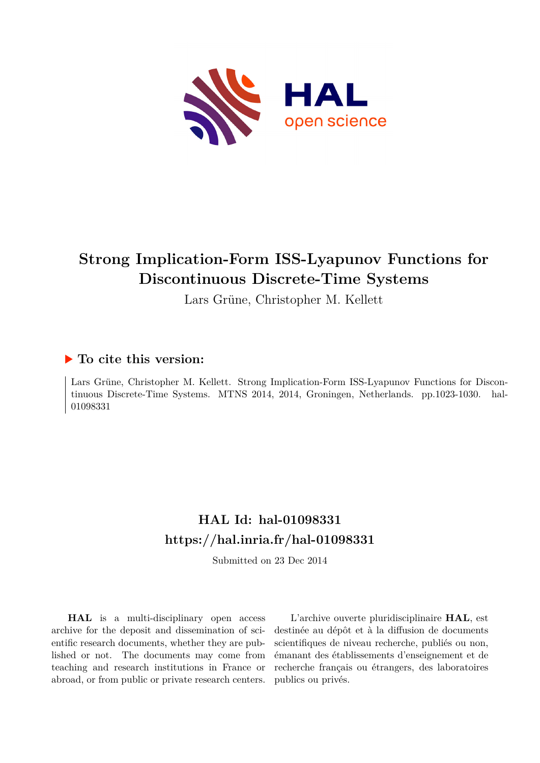

# **Strong Implication-Form ISS-Lyapunov Functions for Discontinuous Discrete-Time Systems**

Lars Grüne, Christopher M. Kellett

### **To cite this version:**

Lars Grüne, Christopher M. Kellett. Strong Implication-Form ISS-Lyapunov Functions for Discontinuous Discrete-Time Systems. MTNS 2014, 2014, Groningen, Netherlands. pp.1023-1030. hal-01098331

## **HAL Id: hal-01098331 <https://hal.inria.fr/hal-01098331>**

Submitted on 23 Dec 2014

**HAL** is a multi-disciplinary open access archive for the deposit and dissemination of scientific research documents, whether they are published or not. The documents may come from teaching and research institutions in France or abroad, or from public or private research centers.

L'archive ouverte pluridisciplinaire **HAL**, est destinée au dépôt et à la diffusion de documents scientifiques de niveau recherche, publiés ou non, émanant des établissements d'enseignement et de recherche français ou étrangers, des laboratoires publics ou privés.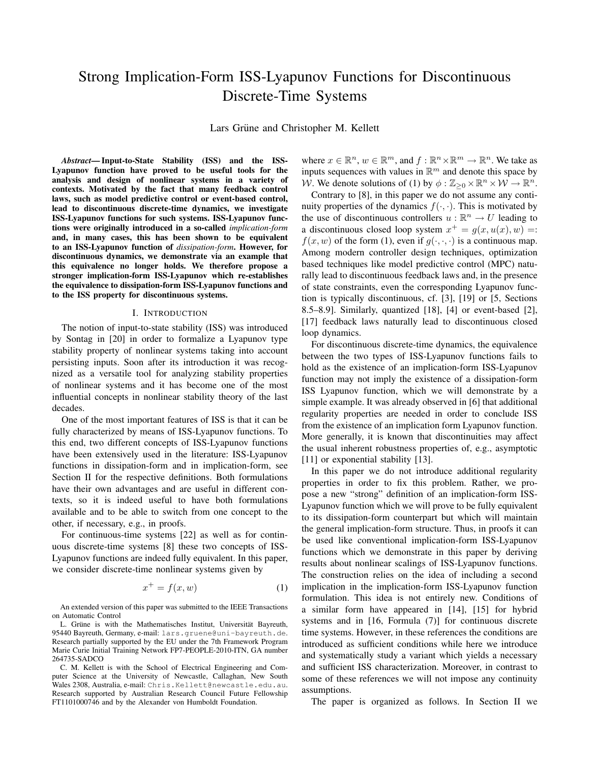### Strong Implication-Form ISS-Lyapunov Functions for Discontinuous Discrete-Time Systems

Lars Grüne and Christopher M. Kellett

*Abstract*— Input-to-State Stability (ISS) and the ISS-Lyapunov function have proved to be useful tools for the analysis and design of nonlinear systems in a variety of contexts. Motivated by the fact that many feedback control laws, such as model predictive control or event-based control, lead to discontinuous discrete-time dynamics, we investigate ISS-Lyapunov functions for such systems. ISS-Lyapunov functions were originally introduced in a so-called *implication-form* and, in many cases, this has been shown to be equivalent to an ISS-Lyapunov function of *dissipation-form*. However, for discontinuous dynamics, we demonstrate via an example that this equivalence no longer holds. We therefore propose a stronger implication-form ISS-Lyapunov which re-establishes the equivalence to dissipation-form ISS-Lyapunov functions and to the ISS property for discontinuous systems.

#### I. INTRODUCTION

The notion of input-to-state stability (ISS) was introduced by Sontag in [20] in order to formalize a Lyapunov type stability property of nonlinear systems taking into account persisting inputs. Soon after its introduction it was recognized as a versatile tool for analyzing stability properties of nonlinear systems and it has become one of the most influential concepts in nonlinear stability theory of the last decades.

One of the most important features of ISS is that it can be fully characterized by means of ISS-Lyapunov functions. To this end, two different concepts of ISS-Lyapunov functions have been extensively used in the literature: ISS-Lyapunov functions in dissipation-form and in implication-form, see Section II for the respective definitions. Both formulations have their own advantages and are useful in different contexts, so it is indeed useful to have both formulations available and to be able to switch from one concept to the other, if necessary, e.g., in proofs.

For continuous-time systems [22] as well as for continuous discrete-time systems [8] these two concepts of ISS-Lyapunov functions are indeed fully equivalent. In this paper, we consider discrete-time nonlinear systems given by

$$
x^+ = f(x, w) \tag{1}
$$

An extended version of this paper was submitted to the IEEE Transactions on Automatic Control

L. Grüne is with the Mathematisches Institut, Universität Bayreuth, 95440 Bayreuth, Germany, e-mail: lars.gruene@uni-bayreuth.de. Research partially supported by the EU under the 7th Framework Program Marie Curie Initial Training Network FP7-PEOPLE-2010-ITN, GA number 264735-SADCO

C. M. Kellett is with the School of Electrical Engineering and Computer Science at the University of Newcastle, Callaghan, New South Wales 2308, Australia, e-mail: Chris.Kellett@newcastle.edu.au. Research supported by Australian Research Council Future Fellowship FT1101000746 and by the Alexander von Humboldt Foundation.

where  $x \in \mathbb{R}^n$ ,  $w \in \mathbb{R}^m$ , and  $f: \mathbb{R}^n \times \mathbb{R}^m \to \mathbb{R}^n$ . We take as inputs sequences with values in  $\mathbb{R}^m$  and denote this space by W. We denote solutions of (1) by  $\phi : \mathbb{Z}_{\geq 0} \times \mathbb{R}^n \times \mathcal{W} \to \mathbb{R}^n$ .

Contrary to [8], in this paper we do not assume any continuity properties of the dynamics  $f(\cdot, \cdot)$ . This is motivated by the use of discontinuous controllers  $u : \mathbb{R}^n \to U$  leading to a discontinuous closed loop system  $x^+ = g(x, u(x), w) =$ :  $f(x, w)$  of the form (1), even if  $g(\cdot, \cdot, \cdot)$  is a continuous map. Among modern controller design techniques, optimization based techniques like model predictive control (MPC) naturally lead to discontinuous feedback laws and, in the presence of state constraints, even the corresponding Lyapunov function is typically discontinuous, cf. [3], [19] or [5, Sections 8.5–8.9]. Similarly, quantized [18], [4] or event-based [2], [17] feedback laws naturally lead to discontinuous closed loop dynamics.

For discontinuous discrete-time dynamics, the equivalence between the two types of ISS-Lyapunov functions fails to hold as the existence of an implication-form ISS-Lyapunov function may not imply the existence of a dissipation-form ISS Lyapunov function, which we will demonstrate by a simple example. It was already observed in [6] that additional regularity properties are needed in order to conclude ISS from the existence of an implication form Lyapunov function. More generally, it is known that discontinuities may affect the usual inherent robustness properties of, e.g., asymptotic [11] or exponential stability [13].

In this paper we do not introduce additional regularity properties in order to fix this problem. Rather, we propose a new "strong" definition of an implication-form ISS-Lyapunov function which we will prove to be fully equivalent to its dissipation-form counterpart but which will maintain the general implication-form structure. Thus, in proofs it can be used like conventional implication-form ISS-Lyapunov functions which we demonstrate in this paper by deriving results about nonlinear scalings of ISS-Lyapunov functions. The construction relies on the idea of including a second implication in the implication-form ISS-Lyapunov function formulation. This idea is not entirely new. Conditions of a similar form have appeared in [14], [15] for hybrid systems and in [16, Formula (7)] for continuous discrete time systems. However, in these references the conditions are introduced as sufficient conditions while here we introduce and systematically study a variant which yields a necessary and sufficient ISS characterization. Moreover, in contrast to some of these references we will not impose any continuity assumptions.

The paper is organized as follows. In Section II we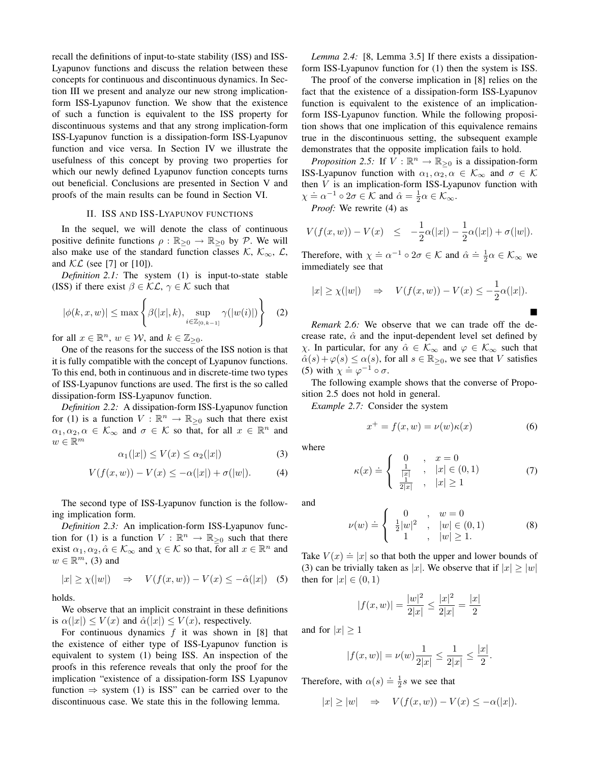recall the definitions of input-to-state stability (ISS) and ISS-Lyapunov functions and discuss the relation between these concepts for continuous and discontinuous dynamics. In Section III we present and analyze our new strong implicationform ISS-Lyapunov function. We show that the existence of such a function is equivalent to the ISS property for discontinuous systems and that any strong implication-form ISS-Lyapunov function is a dissipation-form ISS-Lyapunov function and vice versa. In Section IV we illustrate the usefulness of this concept by proving two properties for which our newly defined Lyapunov function concepts turns out beneficial. Conclusions are presented in Section V and proofs of the main results can be found in Section VI.

#### II. ISS AND ISS-LYAPUNOV FUNCTIONS

In the sequel, we will denote the class of continuous positive definite functions  $\rho : \mathbb{R}_{\geq 0} \to \mathbb{R}_{\geq 0}$  by P. We will also make use of the standard function classes K,  $\mathcal{K}_{\infty}$ ,  $\mathcal{L}_{\infty}$ , and  $\mathcal{KL}$  (see [7] or [10]).

*Definition 2.1:* The system (1) is input-to-state stable (ISS) if there exist  $\beta \in \mathcal{KL}$ ,  $\gamma \in \mathcal{K}$  such that

$$
|\phi(k, x, w)| \le \max\left\{\beta(|x|, k), \sup_{i \in \mathbb{Z}_{[0, k-1]}} \gamma(|w(i)|)\right\} \quad (2)
$$

for all  $x \in \mathbb{R}^n$ ,  $w \in \mathcal{W}$ , and  $k \in \mathbb{Z}_{\geq 0}$ .

One of the reasons for the success of the ISS notion is that it is fully compatible with the concept of Lyapunov functions. To this end, both in continuous and in discrete-time two types of ISS-Lyapunov functions are used. The first is the so called dissipation-form ISS-Lyapunov function.

*Definition 2.2:* A dissipation-form ISS-Lyapunov function for (1) is a function  $V : \mathbb{R}^n \to \mathbb{R}_{\geq 0}$  such that there exist  $\alpha_1, \alpha_2, \alpha \in \mathcal{K}_{\infty}$  and  $\sigma \in \mathcal{K}$  so that, for all  $x \in \mathbb{R}^n$  and  $w \in \mathbb{R}^m$ 

$$
\alpha_1(|x|) \le V(x) \le \alpha_2(|x|) \tag{3}
$$

$$
V(f(x, w)) - V(x) \le -\alpha(|x|) + \sigma(|w|). \tag{4}
$$

The second type of ISS-Lyapunov function is the following implication form.

*Definition 2.3:* An implication-form ISS-Lyapunov function for (1) is a function  $V : \mathbb{R}^n \to \mathbb{R}_{\geq 0}$  such that there exist  $\alpha_1, \alpha_2, \hat{\alpha} \in \mathcal{K}_{\infty}$  and  $\chi \in \mathcal{K}$  so that, for all  $x \in \mathbb{R}^n$  and  $w \in \mathbb{R}^m$ , (3) and

 $|x| \ge \chi(|w|) \Rightarrow V(f(x, w)) - V(x) \le -\hat{\alpha}(|x|)$  (5)

holds.

We observe that an implicit constraint in these definitions is  $\alpha(|x|) \le V(x)$  and  $\hat{\alpha}(|x|) \le V(x)$ , respectively.

For continuous dynamics  $f$  it was shown in [8] that the existence of either type of ISS-Lyapunov function is equivalent to system (1) being ISS. An inspection of the proofs in this reference reveals that only the proof for the implication "existence of a dissipation-form ISS Lyapunov function  $\Rightarrow$  system (1) is ISS" can be carried over to the discontinuous case. We state this in the following lemma.

*Lemma 2.4:* [8, Lemma 3.5] If there exists a dissipationform ISS-Lyapunov function for (1) then the system is ISS.

The proof of the converse implication in [8] relies on the fact that the existence of a dissipation-form ISS-Lyapunov function is equivalent to the existence of an implicationform ISS-Lyapunov function. While the following proposition shows that one implication of this equivalence remains true in the discontinuous setting, the subsequent example demonstrates that the opposite implication fails to hold.

*Proposition 2.5:* If  $V : \mathbb{R}^n \to \mathbb{R}_{\geq 0}$  is a dissipation-form ISS-Lyapunov function with  $\alpha_1, \alpha_2, \alpha \in \mathcal{K}_{\infty}$  and  $\sigma \in \mathcal{K}$ then  $V$  is an implication-form ISS-Lyapunov function with  $\chi \doteq \alpha^{-1} \circ 2\sigma \in \mathcal{K}$  and  $\hat{\alpha} = \frac{1}{2}\alpha \in \mathcal{K}_{\infty}$ .

*Proof:* We rewrite (4) as

$$
V(f(x, w)) - V(x) \le -\frac{1}{2}\alpha(|x|) - \frac{1}{2}\alpha(|x|) + \sigma(|w|).
$$

Therefore, with  $\chi = \alpha^{-1} \circ 2\sigma \in \mathcal{K}$  and  $\hat{\alpha} \doteq \frac{1}{2}\alpha \in \mathcal{K}_{\infty}$  we immediately see that

$$
|x| \ge \chi(|w|)
$$
  $\Rightarrow$   $V(f(x, w)) - V(x) \le -\frac{1}{2}\alpha(|x|).$ 

*Remark 2.6:* We observe that we can trade off the decrease rate,  $\hat{\alpha}$  and the input-dependent level set defined by  $χ$ . In particular, for any  $\hat{\alpha} \in \mathcal{K}_{\infty}$  and  $\varphi \in \mathcal{K}_{\infty}$  such that  $\hat{\alpha}(s) + \varphi(s) \leq \alpha(s)$ , for all  $s \in \mathbb{R}_{\geq 0}$ , we see that V satisfies (5) with  $\chi = \varphi^{-1} \circ \sigma$ .

The following example shows that the converse of Proposition 2.5 does not hold in general.

*Example 2.7:* Consider the system

$$
x^{+} = f(x, w) = \nu(w)\kappa(x)
$$
 (6)

where

$$
\kappa(x) \doteq \begin{cases} 0, & x = 0 \\ \frac{1}{|x|}, & |x| \in (0, 1) \\ \frac{1}{2|x|}, & |x| \ge 1 \end{cases}
$$
 (7)

and

$$
\nu(w) \doteq \begin{cases} 0, & w = 0 \\ \frac{1}{2}|w|^2, & |w| \in (0,1) \\ 1, & |w| \ge 1. \end{cases}
$$
 (8)

Take  $V(x) \doteq |x|$  so that both the upper and lower bounds of (3) can be trivially taken as |x|. We observe that if  $|x| \ge |w|$ then for  $|x| \in (0,1)$ 

$$
|f(x, w)| = \frac{|w|^2}{2|x|} \le \frac{|x|^2}{2|x|} = \frac{|x|}{2}
$$

and for  $|x| \geq 1$ 

$$
|f(x, w)| = \nu(w) \frac{1}{2|x|} \le \frac{1}{2|x|} \le \frac{|x|}{2}.
$$

Therefore, with  $\alpha(s) \doteq \frac{1}{2}s$  we see that

$$
|x|\geq |w| \quad \Rightarrow \quad V(f(x,w))-V(x)\leq -\alpha(|x|).
$$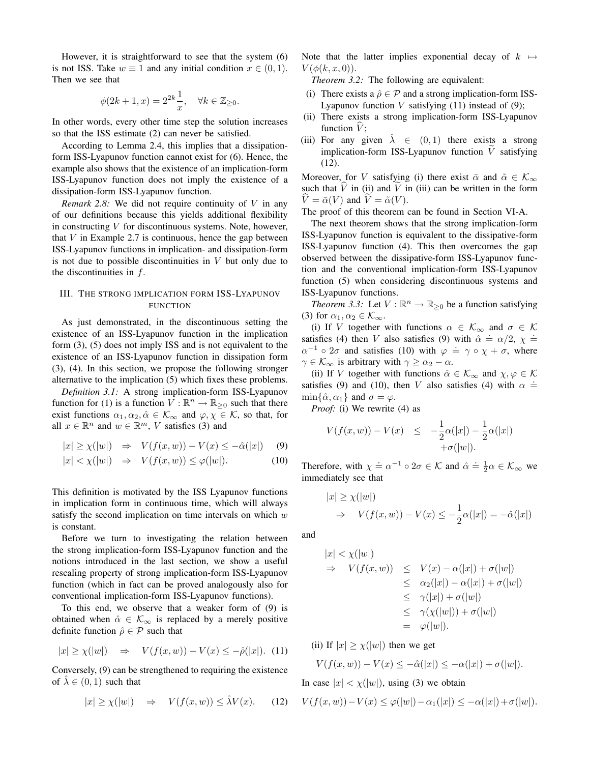However, it is straightforward to see that the system (6) is not ISS. Take  $w \equiv 1$  and any initial condition  $x \in (0, 1)$ . Then we see that

$$
\phi(2k+1, x) = 2^{2k} \frac{1}{x}, \quad \forall k \in \mathbb{Z}_{\geq 0}.
$$

In other words, every other time step the solution increases so that the ISS estimate (2) can never be satisfied.

According to Lemma 2.4, this implies that a dissipationform ISS-Lyapunov function cannot exist for (6). Hence, the example also shows that the existence of an implication-form ISS-Lyapunov function does not imply the existence of a dissipation-form ISS-Lyapunov function.

*Remark 2.8:* We did not require continuity of V in any of our definitions because this yields additional flexibility in constructing  $V$  for discontinuous systems. Note, however, that  $V$  in Example 2.7 is continuous, hence the gap between ISS-Lyapunov functions in implication- and dissipation-form is not due to possible discontinuities in  $V$  but only due to the discontinuities in f.

#### III. THE STRONG IMPLICATION FORM ISS-LYAPUNOV FUNCTION

As just demonstrated, in the discontinuous setting the existence of an ISS-Lyapunov function in the implication form (3), (5) does not imply ISS and is not equivalent to the existence of an ISS-Lyapunov function in dissipation form (3), (4). In this section, we propose the following stronger alternative to the implication (5) which fixes these problems.

*Definition 3.1:* A strong implication-form ISS-Lyapunov function for (1) is a function  $V : \mathbb{R}^n \to \mathbb{R}_{\geq 0}$  such that there exist functions  $\alpha_1, \alpha_2, \hat{\alpha} \in \mathcal{K}_{\infty}$  and  $\varphi, \chi \in \mathcal{K}$ , so that, for all  $x \in \mathbb{R}^n$  and  $w \in \mathbb{R}^m$ , V satisfies (3) and

$$
|x| \ge \chi(|w|) \quad \Rightarrow \quad V(f(x, w)) - V(x) \le -\hat{\alpha}(|x|) \tag{9}
$$

$$
|x| < \chi(|w|) \quad \Rightarrow \quad V(f(x, w)) \leq \varphi(|w|). \tag{10}
$$

This definition is motivated by the ISS Lyapunov functions in implication form in continuous time, which will always satisfy the second implication on time intervals on which  $w$ is constant.

Before we turn to investigating the relation between the strong implication-form ISS-Lyapunov function and the notions introduced in the last section, we show a useful rescaling property of strong implication-form ISS-Lyapunov function (which in fact can be proved analogously also for conventional implication-form ISS-Lyapunov functions).

To this end, we observe that a weaker form of (9) is obtained when  $\hat{\alpha} \in \mathcal{K}_{\infty}$  is replaced by a merely positive definite function  $\hat{\rho} \in \mathcal{P}$  such that

$$
|x| \ge \chi(|w|) \quad \Rightarrow \quad V(f(x, w)) - V(x) \le -\hat{\rho}(|x|). \tag{11}
$$

Conversely, (9) can be strengthened to requiring the existence of  $\lambda \in (0,1)$  such that

$$
|x| \ge \chi(|w|) \quad \Rightarrow \quad V(f(x, w)) \le \hat{\lambda} V(x). \tag{12}
$$

Note that the latter implies exponential decay of  $k \mapsto$  $V(\phi(k,x,0)).$ 

*Theorem 3.2:* The following are equivalent:

- (i) There exists a  $\hat{\rho} \in \mathcal{P}$  and a strong implication-form ISS-Lyapunov function  $V$  satisfying (11) instead of (9);
- (ii) There exists a strong implication-form ISS-Lyapunov function  $V$ ;
- (iii) For any given  $\lambda \in (0,1)$  there exists a strong implication-form ISS-Lyapunov function  $V$  satisfying (12).

Moreover, for V satisfying (i) there exist  $\bar{\alpha}$  and  $\tilde{\alpha} \in \mathcal{K}_{\infty}$ such that  $\hat{V}$  in (ii) and  $\hat{V}$  in (iii) can be written in the form  $\hat{V} = \bar{\alpha}(V)$  and  $\hat{V} = \tilde{\alpha}(V)$ .

The proof of this theorem can be found in Section VI-A.

The next theorem shows that the strong implication-form ISS-Lyapunov function is equivalent to the dissipative-form ISS-Lyapunov function (4). This then overcomes the gap observed between the dissipative-form ISS-Lyapunov function and the conventional implication-form ISS-Lyapunov function (5) when considering discontinuous systems and ISS-Lyapunov functions.

*Theorem 3.3:* Let  $V : \mathbb{R}^n \to \mathbb{R}_{\geq 0}$  be a function satisfying (3) for  $\alpha_1, \alpha_2 \in \mathcal{K}_{\infty}$ .

(i) If V together with functions  $\alpha \in \mathcal{K}_{\infty}$  and  $\sigma \in \mathcal{K}$ satisfies (4) then V also satisfies (9) with  $\hat{\alpha} \doteq \alpha/2$ ,  $\chi \doteq \alpha/2$ .  $\alpha^{-1} \circ 2\sigma$  and satisfies (10) with  $\varphi = \gamma \circ \chi + \sigma$ , where  $\gamma \in \mathcal{K}_{\infty}$  is arbitrary with  $\gamma \geq \alpha_2 - \alpha$ .

(ii) If V together with functions  $\hat{\alpha} \in \mathcal{K}_{\infty}$  and  $\chi, \varphi \in \mathcal{K}$ satisfies (9) and (10), then V also satisfies (4) with  $\alpha =$  $\min\{\hat{\alpha}, \alpha_1\}$  and  $\sigma = \varphi$ .

*Proof:* (i) We rewrite (4) as

$$
V(f(x, w)) - V(x) \le -\frac{1}{2}\alpha(|x|) - \frac{1}{2}\alpha(|x|) + \sigma(|w|).
$$

Therefore, with  $\chi \doteq \alpha^{-1} \circ 2\sigma \in \mathcal{K}$  and  $\hat{\alpha} \doteq \frac{1}{2}\alpha \in \mathcal{K}_{\infty}$  we immediately see that

$$
|x| \ge \chi(|w|)
$$
  
\n
$$
\Rightarrow V(f(x, w)) - V(x) \le -\frac{1}{2}\alpha(|x|) = -\hat{\alpha}(|x|)
$$

and

$$
|x| < \chi(|w|)
$$
\n
$$
\Rightarrow V(f(x, w)) \leq V(x) - \alpha(|x|) + \sigma(|w|)
$$
\n
$$
\leq \alpha_2(|x|) - \alpha(|x|) + \sigma(|w|)
$$
\n
$$
\leq \gamma(|x|) + \sigma(|w|)
$$
\n
$$
\leq \gamma(\chi(|w|)) + \sigma(|w|)
$$
\n
$$
= \varphi(|w|).
$$

(ii) If  $|x| \ge \chi(|w|)$  then we get

$$
V(f(x,w)) - V(x) \le -\hat{\alpha}(|x|) \le -\alpha(|x|) + \sigma(|w|).
$$

In case  $|x| < \chi(|w|)$ , using (3) we obtain

$$
V(f(x, w)) - V(x) \le \varphi(|w|) - \alpha_1(|x|) \le -\alpha(|x|) + \sigma(|w|).
$$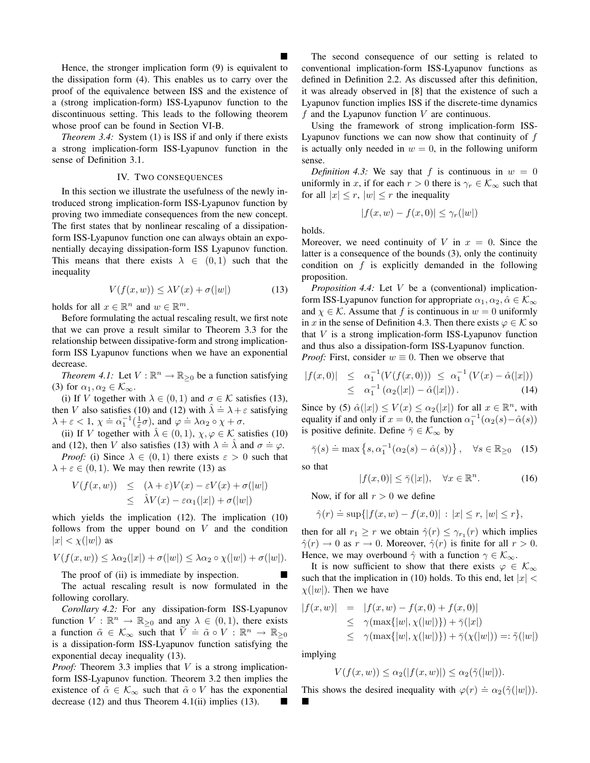Hence, the stronger implication form (9) is equivalent to the dissipation form (4). This enables us to carry over the proof of the equivalence between ISS and the existence of a (strong implication-form) ISS-Lyapunov function to the discontinuous setting. This leads to the following theorem whose proof can be found in Section VI-B.

*Theorem 3.4:* System (1) is ISS if and only if there exists a strong implication-form ISS-Lyapunov function in the sense of Definition 3.1.

#### IV. TWO CONSEQUENCES

In this section we illustrate the usefulness of the newly introduced strong implication-form ISS-Lyapunov function by proving two immediate consequences from the new concept. The first states that by nonlinear rescaling of a dissipationform ISS-Lyapunov function one can always obtain an exponentially decaying dissipation-form ISS Lyapunov function. This means that there exists  $\lambda \in (0,1)$  such that the inequality

$$
V(f(x, w)) \le \lambda V(x) + \sigma(|w|)
$$
 (13)

holds for all  $x \in \mathbb{R}^n$  and  $w \in \mathbb{R}^m$ .

Before formulating the actual rescaling result, we first note that we can prove a result similar to Theorem 3.3 for the relationship between dissipative-form and strong implicationform ISS Lyapunov functions when we have an exponential decrease.

*Theorem 4.1:* Let  $V : \mathbb{R}^n \to \mathbb{R}_{\geq 0}$  be a function satisfying (3) for  $\alpha_1, \alpha_2 \in \mathcal{K}_{\infty}$ .

(i) If V together with  $\lambda \in (0,1)$  and  $\sigma \in \mathcal{K}$  satisfies (13), then V also satisfies (10) and (12) with  $\hat{\lambda} = \lambda + \varepsilon$  satisfying  $\lambda + \varepsilon < 1$ ,  $\chi \doteq \alpha_1^{-1}(\frac{1}{\varepsilon}\sigma)$ , and  $\varphi \doteq \lambda \alpha_2 \circ \chi + \sigma$ .

(ii) If V together with  $\lambda \in (0,1)$ ,  $\chi, \varphi \in \mathcal{K}$  satisfies (10) and (12), then V also satisfies (13) with  $\lambda = \hat{\lambda}$  and  $\sigma = \varphi$ .

*Proof:* (i) Since  $\lambda \in (0,1)$  there exists  $\varepsilon > 0$  such that  $\lambda + \varepsilon \in (0, 1)$ . We may then rewrite (13) as

$$
V(f(x, w)) \leq (\lambda + \varepsilon)V(x) - \varepsilon V(x) + \sigma(|w|)
$$
  

$$
\leq \lambda V(x) - \varepsilon \alpha_1(|x|) + \sigma(|w|)
$$

which yields the implication (12). The implication (10) follows from the upper bound on  $V$  and the condition  $|x| < \chi(|w|)$  as

$$
V(f(x, w)) \leq \lambda \alpha_2(|x|) + \sigma(|w|) \leq \lambda \alpha_2 \circ \chi(|w|) + \sigma(|w|).
$$

The proof of (ii) is immediate by inspection.

The actual rescaling result is now formulated in the following corollary.

*Corollary 4.2:* For any dissipation-form ISS-Lyapunov function  $V : \mathbb{R}^n \to \mathbb{R}_{\geq 0}$  and any  $\lambda \in (0,1)$ , there exists a function  $\tilde{\alpha} \in \mathcal{K}_{\infty}$  such that  $\tilde{V} = \tilde{\alpha} \circ V : \mathbb{R}^n \to \mathbb{R}_{\geq 0}$ is a dissipation-form ISS-Lyapunov function satisfying the exponential decay inequality (13).

*Proof:* Theorem 3.3 implies that V is a strong implicationform ISS-Lyapunov function. Theorem 3.2 then implies the existence of  $\tilde{\alpha} \in \mathcal{K}_{\infty}$  such that  $\tilde{\alpha} \circ V$  has the exponential decrease (12) and thus Theorem 4.1(ii) implies (13).

The second consequence of our setting is related to conventional implication-form ISS-Lyapunov functions as defined in Definition 2.2. As discussed after this definition, it was already observed in [8] that the existence of such a Lyapunov function implies ISS if the discrete-time dynamics f and the Lyapunov function  $V$  are continuous.

Using the framework of strong implication-form ISS-Lyapunov functions we can now show that continuity of f is actually only needed in  $w = 0$ , in the following uniform sense.

*Definition 4.3:* We say that f is continuous in  $w = 0$ uniformly in x, if for each  $r > 0$  there is  $\gamma_r \in \mathcal{K}_{\infty}$  such that for all  $|x| \leq r$ ,  $|w| \leq r$  the inequality

$$
|f(x, w) - f(x, 0)| \leq \gamma_r(|w|)
$$

holds.

Moreover, we need continuity of V in  $x = 0$ . Since the latter is a consequence of the bounds (3), only the continuity condition on  $f$  is explicitly demanded in the following proposition.

*Proposition 4.4:* Let V be a (conventional) implicationform ISS-Lyapunov function for appropriate  $\alpha_1, \alpha_2, \hat{\alpha} \in \mathcal{K}_{\infty}$ and  $\chi \in \mathcal{K}$ . Assume that f is continuous in  $w = 0$  uniformly in x in the sense of Definition 4.3. Then there exists  $\varphi \in \mathcal{K}$  so that  $V$  is a strong implication-form ISS-Lyapunov function and thus also a dissipation-form ISS-Lyapunov function. *Proof:* First, consider  $w \equiv 0$ . Then we observe that

$$
|f(x,0)| \leq \alpha_1^{-1}(V(f(x,0))) \leq \alpha_1^{-1}(V(x) - \hat{\alpha}(|x|))
$$
  
 
$$
\leq \alpha_1^{-1}(\alpha_2(|x|) - \hat{\alpha}(|x|)). \tag{14}
$$

Since by (5)  $\hat{\alpha}(|x|) \le V(x) \le \alpha_2(|x|)$  for all  $x \in \mathbb{R}^n$ , with equality if and only if  $x = 0$ , the function  $\alpha_1^{-1}(\alpha_2(s) - \hat{\alpha}(s))$ is positive definite. Define  $\bar{\gamma} \in \mathcal{K}_{\infty}$  by

$$
\bar{\gamma}(s) \doteq \max\left\{s, \alpha_1^{-1}(\alpha_2(s) - \hat{\alpha}(s))\right\}, \quad \forall s \in \mathbb{R}_{\geq 0} \quad (15)
$$

so that

$$
|f(x,0)| \le \bar{\gamma}(|x|), \quad \forall x \in \mathbb{R}^n. \tag{16}
$$

Now, if for all  $r > 0$  we define

$$
\hat{\gamma}(r) \doteq \sup\{|f(x, w) - f(x, 0)| : |x| \le r, |w| \le r\},\
$$

then for all  $r_1 \geq r$  we obtain  $\hat{\gamma}(r) \leq \gamma_{r_1}(r)$  which implies  $\hat{\gamma}(r) \rightarrow 0$  as  $r \rightarrow 0$ . Moreover,  $\hat{\gamma}(r)$  is finite for all  $r > 0$ . Hence, we may overbound  $\hat{\gamma}$  with a function  $\gamma \in \mathcal{K}_{\infty}$ .

It is now sufficient to show that there exists  $\varphi \in \mathcal{K}_{\infty}$ such that the implication in (10) holds. To this end, let  $|x|$  <  $\chi(|w|)$ . Then we have

$$
|f(x, w)| = |f(x, w) - f(x, 0) + f(x, 0)|
$$
  
\n
$$
\leq \gamma (\max\{|w|, \chi(|w|)\}) + \bar{\gamma}(|x|)
$$
  
\n
$$
\leq \gamma (\max\{|w|, \chi(|w|)\}) + \bar{\gamma}(\chi(|w|)) =: \tilde{\gamma}(|w|)
$$

implying

 $\blacksquare$ 

$$
V(f(x, w)) \leq \alpha_2(|f(x, w)|) \leq \alpha_2(\tilde{\gamma}(|w|)).
$$

This shows the desired inequality with  $\varphi(r) \doteq \alpha_2(\tilde{\gamma}(|w|)).$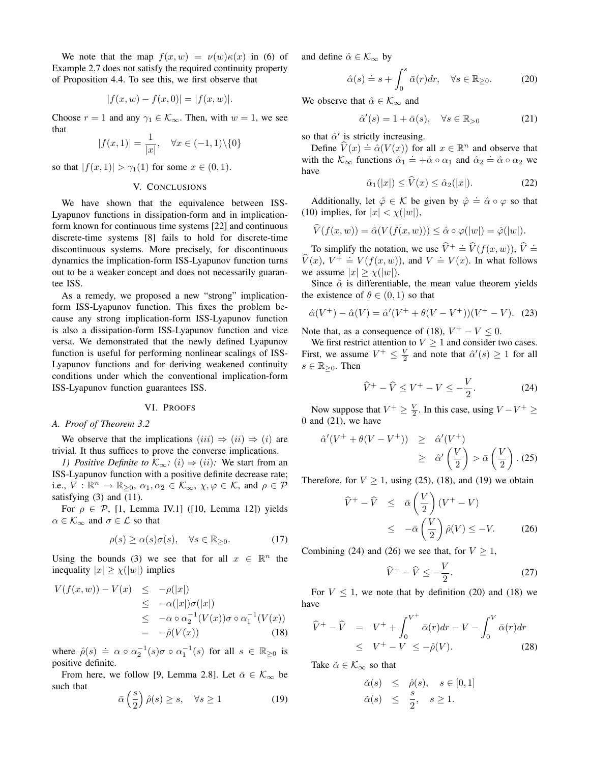We note that the map  $f(x, w) = v(w) \kappa(x)$  in (6) of Example 2.7 does not satisfy the required continuity property of Proposition 4.4. To see this, we first observe that

$$
|f(x, w) - f(x, 0)| = |f(x, w)|.
$$

Choose  $r = 1$  and any  $\gamma_1 \in \mathcal{K}_{\infty}$ . Then, with  $w = 1$ , we see that

$$
|f(x,1)| = \frac{1}{|x|}, \quad \forall x \in (-1,1) \setminus \{0\}
$$

so that  $|f(x, 1)| > \gamma_1(1)$  for some  $x \in (0, 1)$ .

#### V. CONCLUSIONS

We have shown that the equivalence between ISS-Lyapunov functions in dissipation-form and in implicationform known for continuous time systems [22] and continuous discrete-time systems [8] fails to hold for discrete-time discontinuous systems. More precisely, for discontinuous dynamics the implication-form ISS-Lyapunov function turns out to be a weaker concept and does not necessarily guarantee ISS.

As a remedy, we proposed a new "strong" implicationform ISS-Lyapunov function. This fixes the problem because any strong implication-form ISS-Lyapunov function is also a dissipation-form ISS-Lyapunov function and vice versa. We demonstrated that the newly defined Lyapunov function is useful for performing nonlinear scalings of ISS-Lyapunov functions and for deriving weakened continuity conditions under which the conventional implication-form ISS-Lyapunov function guarantees ISS.

#### VI. PROOFS

#### *A. Proof of Theorem 3.2*

We observe that the implications  $(iii) \Rightarrow (ii) \Rightarrow (i)$  are trivial. It thus suffices to prove the converse implications.

*1) Positive Definite to*  $\mathcal{K}_{\infty}$ *:* (*i*)  $\Rightarrow$  (*ii*)*:* We start from an ISS-Lyapunov function with a positive definite decrease rate; i.e.,  $V : \mathbb{R}^n \to \mathbb{R}_{\geq 0}, \ \alpha_1, \alpha_2 \in \mathcal{K}_{\infty}, \ \chi, \varphi \in \mathcal{K}, \text{ and } \rho \in \mathcal{P}$ satisfying (3) and (11).

For  $\rho \in \mathcal{P}$ , [1, Lemma IV.1] ([10, Lemma 12]) yields  $\alpha \in \mathcal{K}_{\infty}$  and  $\sigma \in \mathcal{L}$  so that

$$
\rho(s) \ge \alpha(s)\sigma(s), \quad \forall s \in \mathbb{R}_{\ge 0}.\tag{17}
$$

Using the bounds (3) we see that for all  $x \in \mathbb{R}^n$  the inequality  $|x| \ge \chi(|w|)$  implies

$$
V(f(x, w)) - V(x) \le -\rho(|x|)
$$
  
\n
$$
\le -\alpha(|x|)\sigma(|x|)
$$
  
\n
$$
\le -\alpha \circ \alpha_2^{-1}(V(x))\sigma \circ \alpha_1^{-1}(V(x))
$$
  
\n
$$
= -\hat{\rho}(V(x)) \qquad (18)
$$

where  $\hat{\rho}(s) \doteq \alpha \circ \alpha_2^{-1}(s) \sigma \circ \alpha_1^{-1}(s)$  for all  $s \in \mathbb{R}_{\geq 0}$  is positive definite.

From here, we follow [9, Lemma 2.8]. Let  $\bar{\alpha} \in \mathcal{K}_{\infty}$  be such that

$$
\bar{\alpha}\left(\frac{s}{2}\right)\hat{\rho}(s) \ge s, \quad \forall s \ge 1 \tag{19}
$$

and define  $\hat{\alpha} \in \mathcal{K}_{\infty}$  by

$$
\hat{\alpha}(s) \doteq s + \int_0^s \bar{\alpha}(r) dr, \quad \forall s \in \mathbb{R}_{\geq 0}.
$$
 (20)

We observe that  $\hat{\alpha} \in \mathcal{K}_{\infty}$  and

$$
\hat{\alpha}'(s) = 1 + \bar{\alpha}(s), \quad \forall s \in \mathbb{R}_{>0} \tag{21}
$$

so that  $\hat{\alpha}'$  is strictly increasing.

Define  $\hat{V}(x) \doteq \hat{\alpha}(V(x))$  for all  $x \in \mathbb{R}^n$  and observe that with the  $\mathcal{K}_{\infty}$  functions  $\hat{\alpha}_1 \doteq +\hat{\alpha} \circ \alpha_1$  and  $\hat{\alpha}_2 \doteq \hat{\alpha} \circ \alpha_2$  we have

$$
\hat{\alpha}_1(|x|) \le \dot{V}(x) \le \hat{\alpha}_2(|x|). \tag{22}
$$

Additionally, let  $\hat{\varphi} \in \mathcal{K}$  be given by  $\hat{\varphi} = \hat{\alpha} \circ \varphi$  so that (10) implies, for  $|x| < \chi(|w|)$ ,

$$
\widehat{V}(f(x,w)) = \widehat{\alpha}(V(f(x,w))) \leq \widehat{\alpha} \circ \varphi(|w|) = \widehat{\varphi}(|w|).
$$

To simplify the notation, we use  $\hat{V}^+ \doteq \hat{V}(f(x, w)), \hat{V} \doteq$  $\hat{V}(x)$ ,  $V^+ \doteq V(f(x,w))$ , and  $V \doteq V(x)$ . In what follows we assume  $|x| \ge \chi(|w|)$ .

Since  $\hat{\alpha}$  is differentiable, the mean value theorem yields the existence of  $\theta \in (0,1)$  so that

$$
\hat{\alpha}(V^+) - \hat{\alpha}(V) = \hat{\alpha}'(V^+ + \theta(V - V^+))(V^+ - V). \tag{23}
$$

Note that, as a consequence of (18),  $V^+ - V \leq 0$ .

We first restrict attention to  $V \geq 1$  and consider two cases. First, we assume  $V^+ \leq \frac{V}{2}$  and note that  $\hat{\alpha}'(s) \geq 1$  for all  $s \in \mathbb{R}_{\geq 0}$ . Then

$$
\widehat{V}^+ - \widehat{V} \le V^+ - V \le -\frac{V}{2}.\tag{24}
$$

Now suppose that  $V^+ \geq \frac{V}{2}$ . In this case, using  $V - V^+ \geq$  $0$  and  $(21)$ , we have

$$
\begin{array}{rcl} \hat{\alpha}'(V^+ + \theta(V - V^+)) & \geq & \hat{\alpha}'(V^+) \\ & \geq & \hat{\alpha}'\left(\frac{V}{2}\right) > \bar{\alpha}\left(\frac{V}{2}\right). \end{array} \tag{25}
$$

Therefore, for  $V > 1$ , using (25), (18), and (19) we obtain

$$
\begin{aligned}\n\widehat{V}^+ - \widehat{V} &\leq \bar{\alpha} \left( \frac{V}{2} \right) (V^+ - V) \\
&\leq -\bar{\alpha} \left( \frac{V}{2} \right) \hat{\rho}(V) \leq -V.\n\end{aligned}
$$
\n(26)

Combining (24) and (26) we see that, for  $V \ge 1$ ,

$$
\widehat{V}^+ - \widehat{V} \le -\frac{V}{2}.\tag{27}
$$

For  $V \leq 1$ , we note that by definition (20) and (18) we have

$$
\widehat{V}^+ - \widehat{V} = V^+ + \int_0^{V^+} \bar{\alpha}(r)dr - V - \int_0^V \bar{\alpha}(r)dr
$$
  
\n
$$
\leq V^+ - V \leq -\widehat{\rho}(V). \tag{28}
$$

Take  $\check{\alpha} \in \mathcal{K}_{\infty}$  so that

$$
\begin{array}{rcl}\n\check{\alpha}(s) & \leq & \hat{\rho}(s), \quad s \in [0,1] \\
\check{\alpha}(s) & \leq & \frac{s}{2}, \quad s \geq 1.\n\end{array}
$$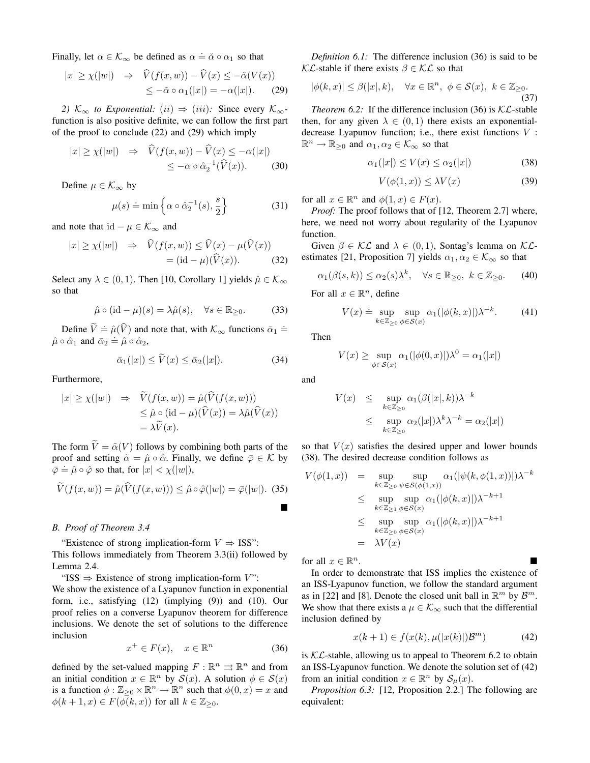Finally, let  $\alpha \in \mathcal{K}_{\infty}$  be defined as  $\alpha \doteq \check{\alpha} \circ \alpha_1$  so that

$$
|x| \ge \chi(|w|) \Rightarrow \widehat{V}(f(x, w)) - \widehat{V}(x) \le -\check{\alpha}(V(x))
$$
  

$$
\le -\check{\alpha} \circ \alpha_1(|x|) = -\alpha(|x|). \tag{29}
$$

*2)*  $\mathcal{K}_{\infty}$  *to Exponential:* (*ii*)  $\Rightarrow$  (*iii*)*:* Since every  $\mathcal{K}_{\infty}$ function is also positive definite, we can follow the first part of the proof to conclude (22) and (29) which imply

$$
|x| \ge \chi(|w|) \Rightarrow \widehat{V}(f(x, w)) - \widehat{V}(x) \le -\alpha(|x|)
$$
  

$$
\le -\alpha \circ \widehat{\alpha}_2^{-1}(\widehat{V}(x)). \tag{30}
$$

Define  $\mu \in \mathcal{K}_{\infty}$  by

$$
\mu(s) \doteq \min\left\{\alpha \circ \hat{\alpha}_2^{-1}(s), \frac{s}{2}\right\} \tag{31}
$$

and note that id  $-\mu \in \mathcal{K}_{\infty}$  and

$$
|x| \ge \chi(|w|) \Rightarrow \widehat{V}(f(x, w)) \le \widehat{V}(x) - \mu(\widehat{V}(x))
$$
  
= (id -  $\mu$ )( $\widehat{V}(x)$ ). (32)

Select any  $\lambda \in (0, 1)$ . Then [10, Corollary 1] yields  $\hat{\mu} \in \mathcal{K}_{\infty}$ so that

$$
\hat{\mu} \circ (\mathrm{id} - \mu)(s) = \lambda \hat{\mu}(s), \quad \forall s \in \mathbb{R}_{\geq 0}.
$$
 (33)

Define  $\widetilde{V} \doteq \hat{\mu}(\widehat{V})$  and note that, with  $\mathcal{K}_{\infty}$  functions  $\bar{\alpha}_1 \doteq$  $\hat{\mu} \circ \hat{\alpha}_1$  and  $\bar{\alpha}_2 = \hat{\mu} \circ \hat{\alpha}_2$ ,

$$
\bar{\alpha}_1(|x|) \le \bar{V}(x) \le \bar{\alpha}_2(|x|). \tag{34}
$$

Furthermore,

$$
|x| \ge \chi(|w|) \Rightarrow \widetilde{V}(f(x, w)) = \hat{\mu}(\widehat{V}(f(x, w)))
$$
  
\n
$$
\le \hat{\mu} \circ (\text{id} - \mu)(\widehat{V}(x)) = \lambda \hat{\mu}(\widehat{V}(x))
$$
  
\n
$$
= \lambda \widetilde{V}(x).
$$

The form  $\tilde{V} = \tilde{\alpha}(V)$  follows by combining both parts of the proof and setting  $\tilde{\alpha} = \hat{\mu} \circ \hat{\alpha}$ . Finally, we define  $\bar{\varphi} \in \mathcal{K}$  by  $\overline{\varphi} = \hat{\mu} \circ \hat{\varphi}$  so that, for  $|x| < \chi(|w|)$ ,

$$
\widetilde{V}(f(x,w)) = \hat{\mu}(\widehat{V}(f(x,w))) \le \hat{\mu} \circ \hat{\varphi}(|w|) = \bar{\varphi}(|w|). \tag{35}
$$

#### *B. Proof of Theorem 3.4*

"Existence of strong implication-form  $V \Rightarrow$  ISS": This follows immediately from Theorem 3.3(ii) followed by Lemma 2.4.

"ISS  $\Rightarrow$  Existence of strong implication-form V":

We show the existence of a Lyapunov function in exponential form, i.e., satisfying (12) (implying (9)) and (10). Our proof relies on a converse Lyapunov theorem for difference inclusions. We denote the set of solutions to the difference inclusion

$$
x^+ \in F(x), \quad x \in \mathbb{R}^n \tag{36}
$$

defined by the set-valued mapping  $F : \mathbb{R}^n \rightrightarrows \mathbb{R}^n$  and from an initial condition  $x \in \mathbb{R}^n$  by  $\mathcal{S}(x)$ . A solution  $\phi \in \mathcal{S}(x)$ is a function  $\phi : \mathbb{Z}_{\geq 0} \times \mathbb{R}^n \to \mathbb{R}^n$  such that  $\phi(0, x) = x$  and  $\phi(k+1, x) \in F(\phi(k, x))$  for all  $k \in \mathbb{Z}_{\geq 0}$ .

*Definition 6.1:* The difference inclusion (36) is said to be  $\mathcal{KL}$ -stable if there exists  $\beta \in \mathcal{KL}$  so that

$$
|\phi(k,x)| \le \beta(|x|,k), \quad \forall x \in \mathbb{R}^n, \ \phi \in \mathcal{S}(x), \ k \in \mathbb{Z}_{\ge 0}.
$$
\n(37)

*Theorem 6.2:* If the difference inclusion (36) is  $KL$ -stable then, for any given  $\lambda \in (0,1)$  there exists an exponentialdecrease Lyapunov function; i.e., there exist functions  $V$ :  $\mathbb{R}^n \to \mathbb{R}_{\geq 0}$  and  $\alpha_1, \alpha_2 \in \mathcal{K}_{\infty}$  so that

$$
\alpha_1(|x|) \le V(x) \le \alpha_2(|x|) \tag{38}
$$

$$
V(\phi(1, x)) \le \lambda V(x) \tag{39}
$$

for all  $x \in \mathbb{R}^n$  and  $\phi(1, x) \in F(x)$ .

*Proof:* The proof follows that of [12, Theorem 2.7] where, here, we need not worry about regularity of the Lyapunov function.

Given  $\beta \in \mathcal{KL}$  and  $\lambda \in (0,1)$ , Sontag's lemma on  $\mathcal{KL}$ estimates [21, Proposition 7] yields  $\alpha_1, \alpha_2 \in \mathcal{K}_{\infty}$  so that

$$
\alpha_1(\beta(s,k)) \le \alpha_2(s)\lambda^k, \quad \forall s \in \mathbb{R}_{\geq 0}, \ k \in \mathbb{Z}_{\geq 0}.\tag{40}
$$

For all  $x \in \mathbb{R}^n$ , define

$$
V(x) \doteq \sup_{k \in \mathbb{Z}_{\geq 0}} \sup_{\phi \in \mathcal{S}(x)} \alpha_1(|\phi(k, x)|) \lambda^{-k}.
$$
 (41)

Then

$$
V(x) \ge \sup_{\phi \in \mathcal{S}(x)} \alpha_1(|\phi(0, x)|) \lambda^0 = \alpha_1(|x|)
$$

and

$$
V(x) \leq \sup_{k \in \mathbb{Z}_{\geq 0}} \alpha_1(\beta(|x|, k)) \lambda^{-k}
$$
  
 
$$
\leq \sup_{k \in \mathbb{Z}_{\geq 0}} \alpha_2(|x|) \lambda^k \lambda^{-k} = \alpha_2(|x|)
$$

so that  $V(x)$  satisfies the desired upper and lower bounds (38). The desired decrease condition follows as

$$
V(\phi(1, x)) = \sup_{k \in \mathbb{Z}_{\geq 0}} \sup_{\psi \in \mathcal{S}(\phi(1, x))} \alpha_1(|\psi(k, \phi(1, x))|) \lambda^{-k}
$$
  
\n
$$
\leq \sup_{k \in \mathbb{Z}_{\geq 1}} \sup_{\phi \in \mathcal{S}(x)} \alpha_1(|\phi(k, x)|) \lambda^{-k+1}
$$
  
\n
$$
\leq \sup_{k \in \mathbb{Z}_{\geq 0}} \sup_{\phi \in \mathcal{S}(x)} \alpha_1(|\phi(k, x)|) \lambda^{-k+1}
$$
  
\n
$$
= \lambda V(x)
$$

for all  $x \in \mathbb{R}^n$ .  $n$ .

In order to demonstrate that ISS implies the existence of an ISS-Lyapunov function, we follow the standard argument as in [22] and [8]. Denote the closed unit ball in  $\mathbb{R}^m$  by  $\mathcal{B}^m$ . We show that there exists a  $\mu \in \mathcal{K}_{\infty}$  such that the differential inclusion defined by

$$
x(k+1) \in f(x(k), \mu(|x(k)|)\mathcal{B}^m)
$$
 (42)

is  $KL$ -stable, allowing us to appeal to Theorem 6.2 to obtain an ISS-Lyapunov function. We denote the solution set of (42) from an initial condition  $x \in \mathbb{R}^n$  by  $\mathcal{S}_{\mu}(x)$ .

*Proposition 6.3:* [12, Proposition 2.2.] The following are equivalent: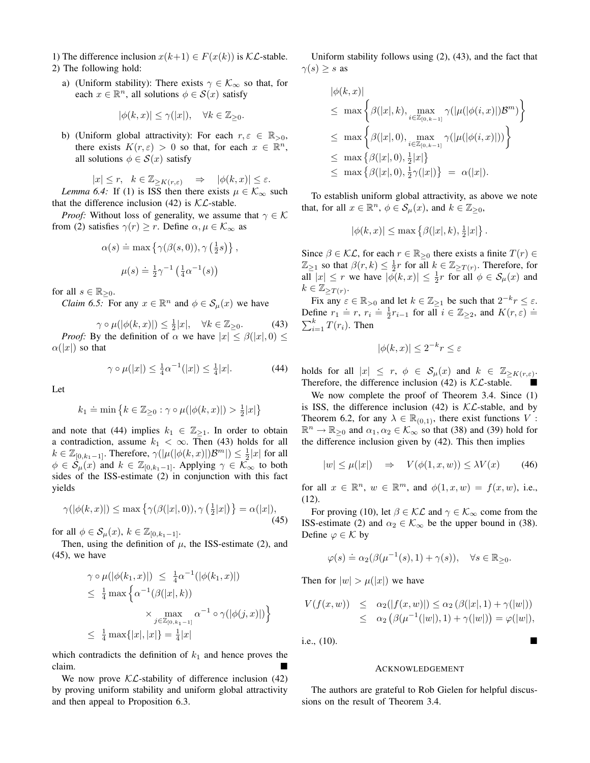- 1) The difference inclusion  $x(k+1) \in F(x(k))$  is  $\mathcal{KL}$ -stable. 2) The following hold:
	- a) (Uniform stability): There exists  $\gamma \in \mathcal{K}_{\infty}$  so that, for each  $x \in \mathbb{R}^n$ , all solutions  $\phi \in \mathcal{S}(x)$  satisfy

$$
|\phi(k,x)| \le \gamma(|x|), \quad \forall k \in \mathbb{Z}_{\ge 0}.
$$

b) (Uniform global attractivity): For each  $r, \varepsilon \in \mathbb{R}_{>0}$ , there exists  $K(r, \varepsilon) > 0$  so that, for each  $x \in \mathbb{R}^n$ , all solutions  $\phi \in \mathcal{S}(x)$  satisfy

$$
|x| \le r, \quad k \in \mathbb{Z}_{\ge K(r,\varepsilon)} \Rightarrow |\phi(k,x)| \le \varepsilon.
$$
  
Lemma 6.4: If (1) is ISS then there exists  $\mu \in \mathcal{K}_{\infty}$  such

that the difference inclusion (42) is  $\mathcal{KL}$ -stable.

*Proof:* Without loss of generality, we assume that  $\gamma \in \mathcal{K}$ from (2) satisfies  $\gamma(r) \ge r$ . Define  $\alpha, \mu \in \mathcal{K}_{\infty}$  as

$$
\alpha(s) \doteq \max \left\{ \gamma(\beta(s, 0)), \gamma \left( \frac{1}{2}s \right) \right\},\
$$

$$
\mu(s) \doteq \frac{1}{2} \gamma^{-1} \left( \frac{1}{4} \alpha^{-1}(s) \right)
$$

for all  $s \in \mathbb{R}_{\geq 0}$ .

*Claim 6.5:* For any  $x \in \mathbb{R}^n$  and  $\phi \in \mathcal{S}_{\mu}(x)$  we have

$$
\gamma \circ \mu(|\phi(k, x)|) \le \frac{1}{2}|x|, \quad \forall k \in \mathbb{Z}_{\ge 0}.\tag{43}
$$

*Proof:* By the definition of  $\alpha$  we have  $|x| \leq \beta(|x|, 0) \leq$  $\alpha(|x|)$  so that

$$
\gamma \circ \mu(|x|) \le \frac{1}{4}\alpha^{-1}(|x|) \le \frac{1}{4}|x|.
$$
 (44)

Let

$$
k_1 \doteq \min\left\{k \in \mathbb{Z}_{\geq 0} : \gamma \circ \mu(|\phi(k, x)|) > \frac{1}{2}|x|\right\}
$$

and note that (44) implies  $k_1 \in \mathbb{Z}_{\geq 1}$ . In order to obtain a contradiction, assume  $k_1 < \infty$ . Then (43) holds for all  $k \in \mathbb{Z}_{[0,k_1-1]}$ . Therefore,  $\gamma(|\mu(|\phi(k,x)|)\mathcal{B}^m|) \leq \frac{1}{2}|x|$  for all  $\phi \in \mathcal{S}_{\mu}(x)$  and  $k \in \mathbb{Z}_{[0,k_1-1]}$ . Applying  $\gamma \in \mathcal{K}_{\infty}$  to both sides of the ISS-estimate (2) in conjunction with this fact yields

$$
\gamma(|\phi(k,x)|) \le \max\left\{\gamma(\beta(|x|,0)), \gamma\left(\frac{1}{2}|x|\right)\right\} = \alpha(|x|),\tag{45}
$$

for all  $\phi \in \mathcal{S}_{\mu}(x)$ ,  $k \in \mathbb{Z}_{[0,k_1-1]}$ .

Then, using the definition of  $\mu$ , the ISS-estimate (2), and  $(45)$ , we have

$$
\gamma \circ \mu(|\phi(k_1, x)|) \leq \frac{1}{4}\alpha^{-1}(|\phi(k_1, x)|)
$$
  
\n
$$
\leq \frac{1}{4} \max \left\{ \alpha^{-1}(\beta(|x|, k)) \times \max_{j \in \mathbb{Z}_{[0, k_1 - 1]}} \alpha^{-1} \circ \gamma(|\phi(j, x)|) \right\}
$$
  
\n
$$
\leq \frac{1}{4} \max \{|x|, |x|\} = \frac{1}{4}|x|
$$

which contradicts the definition of  $k_1$  and hence proves the claim.

We now prove  $\mathcal{KL}$ -stability of difference inclusion (42) by proving uniform stability and uniform global attractivity and then appeal to Proposition 6.3.

Uniform stability follows using (2), (43), and the fact that  $\gamma(s) \geq s$  as

$$
\begin{aligned} |\phi(k, x)| \\ &\leq \max \left\{ \beta(|x|, k), \max_{i \in \mathbb{Z}_{[0, k-1]}} \gamma(|\mu(|\phi(i, x)|) \mathcal{B}^m) \right\} \\ &\leq \max \left\{ \beta(|x|, 0), \max_{i \in \mathbb{Z}_{[0, k-1]}} \gamma(|\mu(|\phi(i, x)|)) \right\} \\ &\leq \max \left\{ \beta(|x|, 0), \frac{1}{2}|x| \right\} \\ &\leq \max \left\{ \beta(|x|, 0), \frac{1}{2} \gamma(|x|) \right\} \ = \ \alpha(|x|). \end{aligned}
$$

To establish uniform global attractivity, as above we note that, for all  $x \in \mathbb{R}^n$ ,  $\phi \in \mathcal{S}_{\mu}(x)$ , and  $k \in \mathbb{Z}_{\geq 0}$ ,

$$
|\phi(k,x)| \leq \max\left\{\beta(|x|,k),\frac{1}{2}|x|\right\}.
$$

Since  $\beta \in \mathcal{KL}$ , for each  $r \in \mathbb{R}_{\geq 0}$  there exists a finite  $T(r) \in$  $\mathbb{Z}_{\geq 1}$  so that  $\beta(r, k) \leq \frac{1}{2}r$  for all  $k \in \mathbb{Z}_{\geq T(r)}$ . Therefore, for all  $|x| \leq r$  we have  $|\bar{\phi}(k,x)| \leq \frac{1}{2}r$  for all  $\phi \in \mathcal{S}_{\mu}(x)$  and  $k \in \mathbb{Z}_{\geq T(r)}$ .

Fix any  $\varepsilon \in \mathbb{R}_{>0}$  and let  $k \in \mathbb{Z}_{\ge 1}$  be such that  $2^{-k}r \le \varepsilon$ . Define  $r_1 \doteq r$ ,  $r_i \doteq \frac{1}{2}r_{i-1}$  for all  $i \in \mathbb{Z}_{\geq 2}$ , and  $K(r, \varepsilon) \doteq$  $\sum_{i=1}^{k} T(r_i)$ . Then

$$
|\phi(k, x)| \le 2^{-k} r \le \varepsilon
$$

holds for all  $|x| \leq r$ ,  $\phi \in S_{\mu}(x)$  and  $k \in \mathbb{Z}_{\geq K(r,\varepsilon)}$ . Therefore, the difference inclusion (42) is  $\mathcal{KL}$ -stable.

We now complete the proof of Theorem 3.4. Since (1) is ISS, the difference inclusion (42) is  $\mathcal{KL}$ -stable, and by Theorem 6.2, for any  $\lambda \in \mathbb{R}_{(0,1)}$ , there exist functions V:  $\mathbb{R}^n \to \mathbb{R}_{\geq 0}$  and  $\alpha_1, \alpha_2 \in \mathcal{K}_{\infty}$  so that (38) and (39) hold for the difference inclusion given by (42). This then implies

$$
|w| \le \mu(|x|) \quad \Rightarrow \quad V(\phi(1, x, w)) \le \lambda V(x) \tag{46}
$$

for all  $x \in \mathbb{R}^n$ ,  $w \in \mathbb{R}^m$ , and  $\phi(1, x, w) = f(x, w)$ , i.e., (12).

For proving (10), let  $\beta \in \mathcal{KL}$  and  $\gamma \in \mathcal{K}_{\infty}$  come from the ISS-estimate (2) and  $\alpha_2 \in \mathcal{K}_{\infty}$  be the upper bound in (38). Define  $\varphi \in \mathcal{K}$  by

$$
\varphi(s) \doteq \alpha_2(\beta(\mu^{-1}(s), 1) + \gamma(s)), \quad \forall s \in \mathbb{R}_{\geq 0}.
$$

Then for  $|w| > \mu(|x|)$  we have

$$
V(f(x, w)) \leq \alpha_2(|f(x, w)|) \leq \alpha_2(\beta(|x|, 1) + \gamma(|w|))
$$
  
 
$$
\leq \alpha_2(\beta(\mu^{-1}(|w|), 1) + \gamma(|w|)) = \varphi(|w|),
$$

i.e., (10).

#### ACKNOWLEDGEMENT

The authors are grateful to Rob Gielen for helpful discussions on the result of Theorem 3.4.